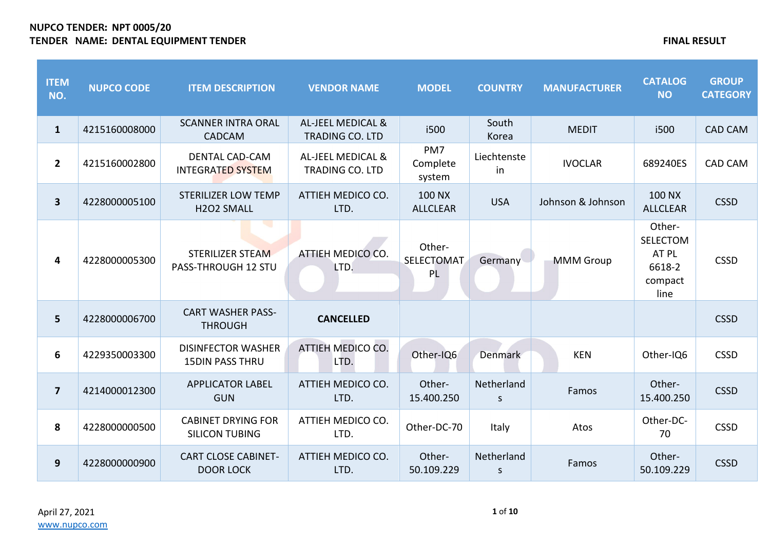| <b>ITEM</b><br>NO.      | <b>NUPCO CODE</b> | <b>ITEM DESCRIPTION</b>                             | <b>VENDOR NAME</b>                                     | <b>MODEL</b>                      | <b>COUNTRY</b>             | <b>MANUFACTURER</b> | <b>CATALOG</b><br><b>NO</b>                                     | <b>GROUP</b><br><b>CATEGORY</b> |
|-------------------------|-------------------|-----------------------------------------------------|--------------------------------------------------------|-----------------------------------|----------------------------|---------------------|-----------------------------------------------------------------|---------------------------------|
| $\mathbf{1}$            | 4215160008000     | <b>SCANNER INTRA ORAL</b><br>CADCAM                 | <b>AL-JEEL MEDICAL &amp;</b><br><b>TRADING CO. LTD</b> | i500                              | South<br>Korea             | <b>MEDIT</b>        | i500                                                            | <b>CAD CAM</b>                  |
| $\overline{2}$          | 4215160002800     | <b>DENTAL CAD-CAM</b><br><b>INTEGRATED SYSTEM</b>   | <b>AL-JEEL MEDICAL &amp;</b><br><b>TRADING CO. LTD</b> | PM7<br>Complete<br>system         | Liechtenste<br>in          | <b>IVOCLAR</b>      | 689240ES                                                        | <b>CAD CAM</b>                  |
| $\mathbf{3}$            | 4228000005100     | <b>STERILIZER LOW TEMP</b><br>H2O2 SMALL            | ATTIEH MEDICO CO.<br>LTD.                              | 100 NX<br><b>ALLCLEAR</b>         | <b>USA</b>                 | Johnson & Johnson   | <b>100 NX</b><br><b>ALLCLEAR</b>                                | <b>CSSD</b>                     |
| 4                       | 4228000005300     | <b>STERILIZER STEAM</b><br>PASS-THROUGH 12 STU      | ATTIEH MEDICO CO.<br>LTD.                              | Other-<br><b>SELECTOMAT</b><br>PL | Germany                    | <b>MMM</b> Group    | Other-<br><b>SELECTOM</b><br>AT PL<br>6618-2<br>compact<br>line | <b>CSSD</b>                     |
| $5\phantom{.0}$         | 4228000006700     | <b>CART WASHER PASS-</b><br><b>THROUGH</b>          | <b>CANCELLED</b>                                       |                                   |                            |                     |                                                                 | <b>CSSD</b>                     |
| 6                       | 4229350003300     | <b>DISINFECTOR WASHER</b><br><b>15DIN PASS THRU</b> | ATTIEH MEDICO CO.<br>LTD.                              | Other-IQ6                         | Denmark                    | <b>KEN</b>          | Other-IQ6                                                       | <b>CSSD</b>                     |
| $\overline{\mathbf{z}}$ | 4214000012300     | <b>APPLICATOR LABEL</b><br><b>GUN</b>               | ATTIEH MEDICO CO.<br>LTD.                              | Other-<br>15.400.250              | Netherland<br><sub>S</sub> | Famos               | Other-<br>15.400.250                                            | <b>CSSD</b>                     |
| 8                       | 4228000000500     | <b>CABINET DRYING FOR</b><br><b>SILICON TUBING</b>  | ATTIEH MEDICO CO.<br>LTD.                              | Other-DC-70                       | Italy                      | Atos                | Other-DC-<br>70                                                 | <b>CSSD</b>                     |
| 9                       | 4228000000900     | <b>CART CLOSE CABINET-</b><br><b>DOOR LOCK</b>      | ATTIEH MEDICO CO.<br>LTD.                              | Other-<br>50.109.229              | Netherland<br>S            | Famos               | Other-<br>50.109.229                                            | <b>CSSD</b>                     |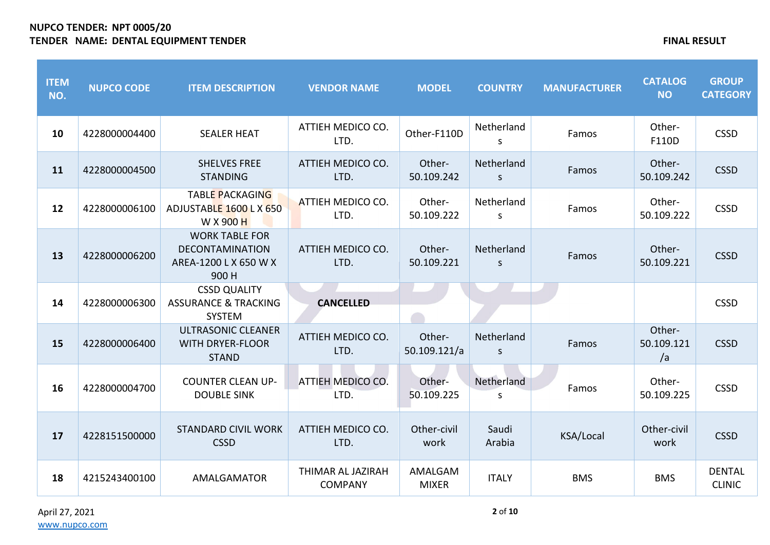| <b>ITEM</b><br>NO. | <b>NUPCO CODE</b> | <b>ITEM DESCRIPTION</b>                                                           | <b>VENDOR NAME</b>                  | <b>MODEL</b>            | <b>COUNTRY</b>             | <b>MANUFACTURER</b> | <b>CATALOG</b><br><b>NO</b> | <b>GROUP</b><br><b>CATEGORY</b> |
|--------------------|-------------------|-----------------------------------------------------------------------------------|-------------------------------------|-------------------------|----------------------------|---------------------|-----------------------------|---------------------------------|
| 10                 | 4228000004400     | <b>SEALER HEAT</b>                                                                | ATTIEH MEDICO CO.<br>LTD.           | Other-F110D             | Netherland<br>S            | Famos               | Other-<br>F110D             | <b>CSSD</b>                     |
| 11                 | 4228000004500     | <b>SHELVES FREE</b><br><b>STANDING</b>                                            | ATTIEH MEDICO CO.<br>LTD.           | Other-<br>50.109.242    | Netherland<br>S            | Famos               | Other-<br>50.109.242        | <b>CSSD</b>                     |
| 12                 | 4228000006100     | <b>TABLE PACKAGING</b><br>ADJUSTABLE 1600 L X 650<br>W X 900 H                    | ATTIEH MEDICO CO.<br>LTD.           | Other-<br>50.109.222    | Netherland<br>S            | Famos               | Other-<br>50.109.222        | <b>CSSD</b>                     |
| 13                 | 4228000006200     | <b>WORK TABLE FOR</b><br><b>DECONTAMINATION</b><br>AREA-1200 L X 650 W X<br>900 H | ATTIEH MEDICO CO.<br>LTD.           | Other-<br>50.109.221    | Netherland<br>$\mathsf{S}$ | Famos               | Other-<br>50.109.221        | <b>CSSD</b>                     |
| 14                 | 4228000006300     | <b>CSSD QUALITY</b><br><b>ASSURANCE &amp; TRACKING</b><br><b>SYSTEM</b>           | <b>CANCELLED</b>                    |                         |                            |                     |                             | <b>CSSD</b>                     |
| 15                 | 4228000006400     | <b>ULTRASONIC CLEANER</b><br><b>WITH DRYER-FLOOR</b><br><b>STAND</b>              | ATTIEH MEDICO CO.<br>LTD.           | Other-<br>50.109.121/a  | Netherland<br>S            | Famos               | Other-<br>50.109.121<br>/a  | <b>CSSD</b>                     |
| 16                 | 4228000004700     | <b>COUNTER CLEAN UP-</b><br><b>DOUBLE SINK</b>                                    | ATTIEH MEDICO CO.<br>LTD.           | Other-<br>50.109.225    | Netherland<br>S.           | Famos               | Other-<br>50.109.225        | <b>CSSD</b>                     |
| 17                 | 4228151500000     | <b>STANDARD CIVIL WORK</b><br><b>CSSD</b>                                         | ATTIEH MEDICO CO.<br>LTD.           | Other-civil<br>work     | Saudi<br>Arabia            | KSA/Local           | Other-civil<br>work         | <b>CSSD</b>                     |
| 18                 | 4215243400100     | AMALGAMATOR                                                                       | THIMAR AL JAZIRAH<br><b>COMPANY</b> | AMALGAM<br><b>MIXER</b> | <b>ITALY</b>               | <b>BMS</b>          | <b>BMS</b>                  | <b>DENTAL</b><br><b>CLINIC</b>  |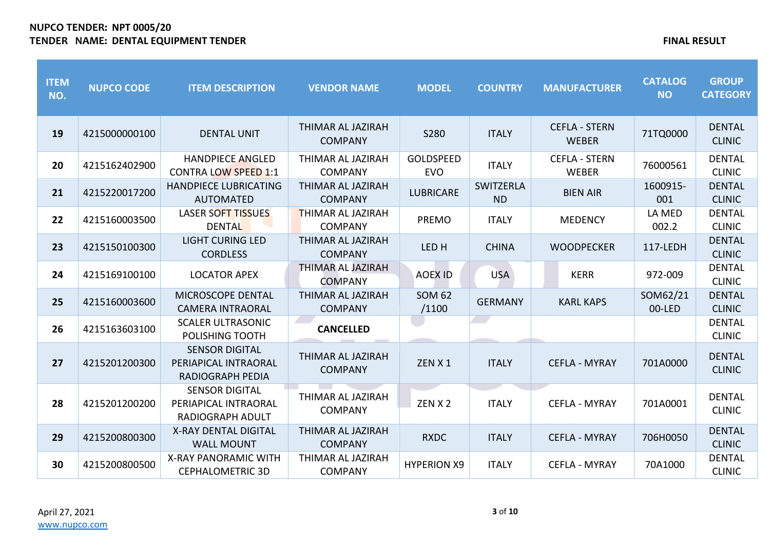| <b>ITEM</b><br>NO. | <b>NUPCO CODE</b> | <b>ITEM DESCRIPTION</b>                                                  | <b>VENDOR NAME</b>                  | <b>MODEL</b>                   | <b>COUNTRY</b>         | <b>MANUFACTURER</b>                  | <b>CATALOG</b><br><b>NO</b> | <b>GROUP</b><br><b>CATEGORY</b> |
|--------------------|-------------------|--------------------------------------------------------------------------|-------------------------------------|--------------------------------|------------------------|--------------------------------------|-----------------------------|---------------------------------|
| 19                 | 4215000000100     | <b>DENTAL UNIT</b>                                                       | THIMAR AL JAZIRAH<br><b>COMPANY</b> | S280                           | <b>ITALY</b>           | <b>CEFLA - STERN</b><br><b>WEBER</b> | 71TQ0000                    | <b>DENTAL</b><br><b>CLINIC</b>  |
| 20                 | 4215162402900     | <b>HANDPIECE ANGLED</b><br><b>CONTRA LOW SPEED 1:1</b>                   | THIMAR AL JAZIRAH<br><b>COMPANY</b> | <b>GOLDSPEED</b><br><b>EVO</b> | <b>ITALY</b>           | <b>CEFLA - STERN</b><br><b>WEBER</b> | 76000561                    | <b>DENTAL</b><br><b>CLINIC</b>  |
| 21                 | 4215220017200     | <b>HANDPIECE LUBRICATING</b><br><b>AUTOMATED</b>                         | THIMAR AL JAZIRAH<br><b>COMPANY</b> | <b>LUBRICARE</b>               | SWITZERLA<br><b>ND</b> | <b>BIEN AIR</b>                      | 1600915-<br>001             | <b>DENTAL</b><br><b>CLINIC</b>  |
| 22                 | 4215160003500     | LASER SOFT TISSUES<br><b>DENTAL</b>                                      | THIMAR AL JAZIRAH<br><b>COMPANY</b> | <b>PREMO</b>                   | <b>ITALY</b>           | <b>MEDENCY</b>                       | LA MED<br>002.2             | <b>DENTAL</b><br><b>CLINIC</b>  |
| 23                 | 4215150100300     | <b>LIGHT CURING LED</b><br><b>CORDLESS</b>                               | THIMAR AL JAZIRAH<br><b>COMPANY</b> | LED <sub>H</sub>               | <b>CHINA</b>           | <b>WOODPECKER</b>                    | 117-LEDH                    | <b>DENTAL</b><br><b>CLINIC</b>  |
| 24                 | 4215169100100     | <b>LOCATOR APEX</b>                                                      | THIMAR AL JAZIRAH<br><b>COMPANY</b> | <b>AOEX ID</b>                 | <b>USA</b>             | <b>KERR</b>                          | 972-009                     | <b>DENTAL</b><br><b>CLINIC</b>  |
| 25                 | 4215160003600     | MICROSCOPE DENTAL<br><b>CAMERA INTRAORAL</b>                             | THIMAR AL JAZIRAH<br><b>COMPANY</b> | <b>SOM 62</b><br>/1100         | <b>GERMANY</b>         | <b>KARL KAPS</b>                     | SOM62/21<br>00-LED          | <b>DENTAL</b><br><b>CLINIC</b>  |
| 26                 | 4215163603100     | <b>SCALER ULTRASONIC</b><br>POLISHING TOOTH                              | <b>CANCELLED</b>                    |                                |                        |                                      |                             | <b>DENTAL</b><br><b>CLINIC</b>  |
| 27                 | 4215201200300     | <b>SENSOR DIGITAL</b><br>PERIAPICAL INTRAORAL<br><b>RADIOGRAPH PEDIA</b> | THIMAR AL JAZIRAH<br><b>COMPANY</b> | ZEN X 1                        | <b>ITALY</b>           | <b>CEFLA - MYRAY</b>                 | 701A0000                    | <b>DENTAL</b><br><b>CLINIC</b>  |
| 28                 | 4215201200200     | <b>SENSOR DIGITAL</b><br>PERIAPICAL INTRAORAL<br><b>RADIOGRAPH ADULT</b> | THIMAR AL JAZIRAH<br><b>COMPANY</b> | ZEN X 2                        | <b>ITALY</b>           | <b>CEFLA - MYRAY</b>                 | 701A0001                    | <b>DENTAL</b><br><b>CLINIC</b>  |
| 29                 | 4215200800300     | <b>X-RAY DENTAL DIGITAL</b><br><b>WALL MOUNT</b>                         | THIMAR AL JAZIRAH<br><b>COMPANY</b> | <b>RXDC</b>                    | <b>ITALY</b>           | <b>CEFLA - MYRAY</b>                 | 706H0050                    | <b>DENTAL</b><br><b>CLINIC</b>  |
| 30                 | 4215200800500     | <b>X-RAY PANORAMIC WITH</b><br><b>CEPHALOMETRIC 3D</b>                   | THIMAR AL JAZIRAH<br><b>COMPANY</b> | <b>HYPERION X9</b>             | <b>ITALY</b>           | <b>CEFLA - MYRAY</b>                 | 70A1000                     | <b>DENTAL</b><br><b>CLINIC</b>  |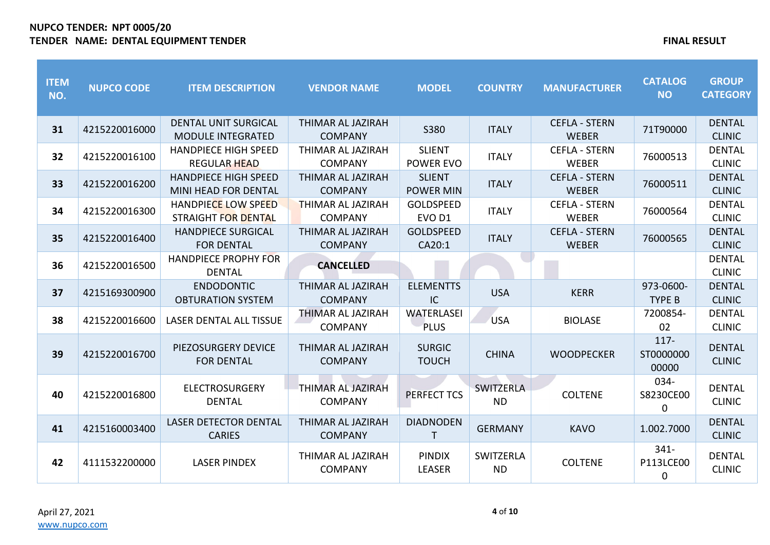| <b>ITEM</b><br>NO. | <b>NUPCO CODE</b> | <b>ITEM DESCRIPTION</b>                                  | <b>VENDOR NAME</b>                  | <b>MODEL</b>                          | <b>COUNTRY</b>         | <b>MANUFACTURER</b>                  | <b>CATALOG</b><br><b>NO</b>         | <b>GROUP</b><br><b>CATEGORY</b> |
|--------------------|-------------------|----------------------------------------------------------|-------------------------------------|---------------------------------------|------------------------|--------------------------------------|-------------------------------------|---------------------------------|
| 31                 | 4215220016000     | <b>DENTAL UNIT SURGICAL</b><br><b>MODULE INTEGRATED</b>  | THIMAR AL JAZIRAH<br><b>COMPANY</b> | S380                                  | <b>ITALY</b>           | <b>CEFLA - STERN</b><br><b>WEBER</b> | 71T90000                            | <b>DENTAL</b><br><b>CLINIC</b>  |
| 32                 | 4215220016100     | <b>HANDPIECE HIGH SPEED</b><br><b>REGULAR HEAD</b>       | THIMAR AL JAZIRAH<br><b>COMPANY</b> | <b>SLIENT</b><br><b>POWER EVO</b>     | <b>ITALY</b>           | <b>CEFLA - STERN</b><br><b>WEBER</b> | 76000513                            | <b>DENTAL</b><br><b>CLINIC</b>  |
| 33                 | 4215220016200     | <b>HANDPIECE HIGH SPEED</b><br>MINI HEAD FOR DENTAL      | THIMAR AL JAZIRAH<br><b>COMPANY</b> | <b>SLIENT</b><br><b>POWER MIN</b>     | <b>ITALY</b>           | <b>CEFLA - STERN</b><br><b>WEBER</b> | 76000511                            | <b>DENTAL</b><br><b>CLINIC</b>  |
| 34                 | 4215220016300     | <b>HANDPIECE LOW SPEED</b><br><b>STRAIGHT FOR DENTAL</b> | THIMAR AL JAZIRAH<br><b>COMPANY</b> | <b>GOLDSPEED</b><br>EVO <sub>D1</sub> | <b>ITALY</b>           | <b>CEFLA - STERN</b><br><b>WEBER</b> | 76000564                            | <b>DENTAL</b><br><b>CLINIC</b>  |
| 35                 | 4215220016400     | <b>HANDPIECE SURGICAL</b><br><b>FOR DENTAL</b>           | THIMAR AL JAZIRAH<br><b>COMPANY</b> | <b>GOLDSPEED</b><br>CA20:1            | <b>ITALY</b>           | <b>CEFLA - STERN</b><br><b>WEBER</b> | 76000565                            | <b>DENTAL</b><br><b>CLINIC</b>  |
| 36                 | 4215220016500     | <b>HANDPIECE PROPHY FOR</b><br><b>DENTAL</b>             | <b>CANCELLED</b>                    |                                       |                        |                                      |                                     | <b>DENTAL</b><br><b>CLINIC</b>  |
| 37                 | 4215169300900     | <b>ENDODONTIC</b><br><b>OBTURATION SYSTEM</b>            | THIMAR AL JAZIRAH<br><b>COMPANY</b> | <b>ELEMENTTS</b><br>IC                | <b>USA</b>             | <b>KERR</b>                          | 973-0600-<br><b>TYPE B</b>          | <b>DENTAL</b><br><b>CLINIC</b>  |
| 38                 | 4215220016600     | <b>LASER DENTAL ALL TISSUE</b>                           | THIMAR AL JAZIRAH<br><b>COMPANY</b> | <b>WATERLASEI</b><br><b>PLUS</b>      | <b>USA</b>             | <b>BIOLASE</b>                       | 7200854-<br>02                      | <b>DENTAL</b><br><b>CLINIC</b>  |
| 39                 | 4215220016700     | PIEZOSURGERY DEVICE<br><b>FOR DENTAL</b>                 | THIMAR AL JAZIRAH<br><b>COMPANY</b> | <b>SURGIC</b><br><b>TOUCH</b>         | <b>CHINA</b>           | <b>WOODPECKER</b>                    | 117-<br>ST0000000<br>00000          | <b>DENTAL</b><br><b>CLINIC</b>  |
| 40                 | 4215220016800     | <b>ELECTROSURGERY</b><br><b>DENTAL</b>                   | THIMAR AL JAZIRAH<br><b>COMPANY</b> | <b>PERFECT TCS</b>                    | SWITZERLA<br><b>ND</b> | <b>COLTENE</b>                       | 034-<br>S8230CE00<br>$\Omega$       | <b>DENTAL</b><br><b>CLINIC</b>  |
| 41                 | 4215160003400     | <b>LASER DETECTOR DENTAL</b><br><b>CARIES</b>            | THIMAR AL JAZIRAH<br><b>COMPANY</b> | <b>DIADNODEN</b><br>T                 | <b>GERMANY</b>         | <b>KAVO</b>                          | 1.002.7000                          | <b>DENTAL</b><br><b>CLINIC</b>  |
| 42                 | 4111532200000     | <b>LASER PINDEX</b>                                      | THIMAR AL JAZIRAH<br><b>COMPANY</b> | <b>PINDIX</b><br><b>LEASER</b>        | SWITZERLA<br><b>ND</b> | <b>COLTENE</b>                       | $341 -$<br>P113LCE00<br>$\mathbf 0$ | <b>DENTAL</b><br><b>CLINIC</b>  |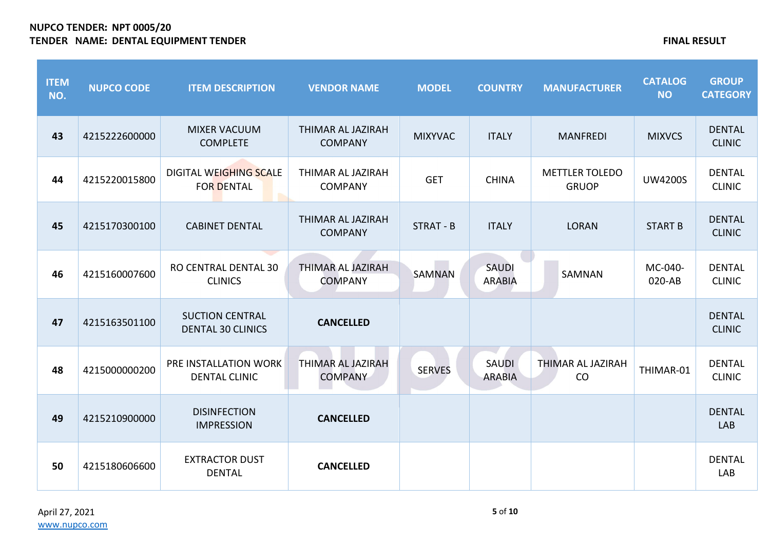| <b>ITEM</b><br>NO. | <b>NUPCO CODE</b> | <b>ITEM DESCRIPTION</b>                            | <b>VENDOR NAME</b>                  | <b>MODEL</b>   | <b>COUNTRY</b>                | <b>MANUFACTURER</b>                   | <b>CATALOG</b><br><b>NO</b> | <b>GROUP</b><br><b>CATEGORY</b> |
|--------------------|-------------------|----------------------------------------------------|-------------------------------------|----------------|-------------------------------|---------------------------------------|-----------------------------|---------------------------------|
| 43                 | 4215222600000     | <b>MIXER VACUUM</b><br><b>COMPLETE</b>             | THIMAR AL JAZIRAH<br><b>COMPANY</b> | <b>MIXYVAC</b> | <b>ITALY</b>                  | <b>MANFREDI</b>                       | <b>MIXVCS</b>               | <b>DENTAL</b><br><b>CLINIC</b>  |
| 44                 | 4215220015800     | DIGITAL WEIGHING SCALE<br><b>FOR DENTAL</b>        | THIMAR AL JAZIRAH<br><b>COMPANY</b> | <b>GET</b>     | <b>CHINA</b>                  | <b>METTLER TOLEDO</b><br><b>GRUOP</b> | <b>UW4200S</b>              | <b>DENTAL</b><br><b>CLINIC</b>  |
| 45                 | 4215170300100     | <b>CABINET DENTAL</b>                              | THIMAR AL JAZIRAH<br><b>COMPANY</b> | STRAT - B      | <b>ITALY</b>                  | <b>LORAN</b>                          | <b>START B</b>              | <b>DENTAL</b><br><b>CLINIC</b>  |
| 46                 | 4215160007600     | RO CENTRAL DENTAL 30<br><b>CLINICS</b>             | THIMAR AL JAZIRAH<br><b>COMPANY</b> | <b>SAMNAN</b>  | <b>SAUDI</b><br><b>ARABIA</b> | SAMNAN                                | MC-040-<br>020-AB           | <b>DENTAL</b><br><b>CLINIC</b>  |
| 47                 | 4215163501100     | <b>SUCTION CENTRAL</b><br><b>DENTAL 30 CLINICS</b> | <b>CANCELLED</b>                    |                |                               |                                       |                             | <b>DENTAL</b><br><b>CLINIC</b>  |
| 48                 | 4215000000200     | PRE INSTALLATION WORK<br><b>DENTAL CLINIC</b>      | THIMAR AL JAZIRAH<br><b>COMPANY</b> | <b>SERVES</b>  | <b>SAUDI</b><br><b>ARABIA</b> | THIMAR AL JAZIRAH<br>CO               | THIMAR-01                   | <b>DENTAL</b><br><b>CLINIC</b>  |
| 49                 | 4215210900000     | <b>DISINFECTION</b><br><b>IMPRESSION</b>           | <b>CANCELLED</b>                    |                |                               |                                       |                             | <b>DENTAL</b><br>LAB            |
| 50                 | 4215180606600     | <b>EXTRACTOR DUST</b><br><b>DENTAL</b>             | <b>CANCELLED</b>                    |                |                               |                                       |                             | <b>DENTAL</b><br>LAB            |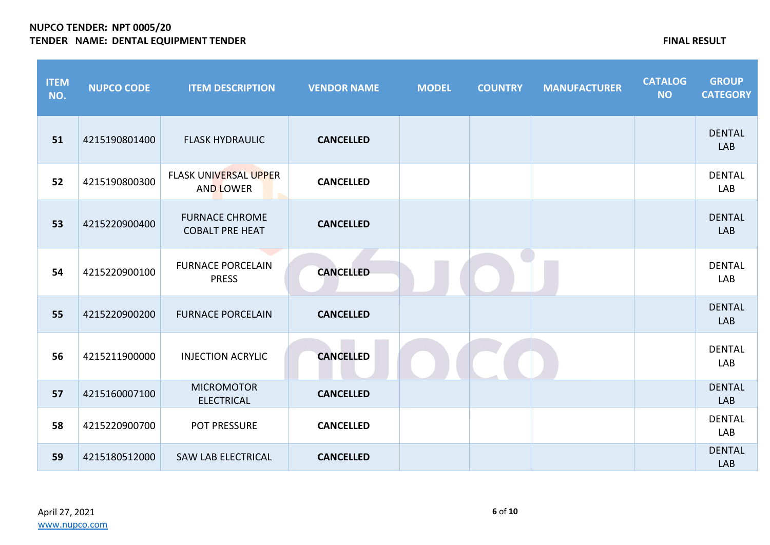| <b>ITEM</b><br>NO. | <b>NUPCO CODE</b> | <b>ITEM DESCRIPTION</b>                          | <b>VENDOR NAME</b> | <b>MODEL</b> | <b>COUNTRY</b> | <b>MANUFACTURER</b> | <b>CATALOG</b><br><b>NO</b> | <b>GROUP</b><br><b>CATEGORY</b> |
|--------------------|-------------------|--------------------------------------------------|--------------------|--------------|----------------|---------------------|-----------------------------|---------------------------------|
| 51                 | 4215190801400     | <b>FLASK HYDRAULIC</b>                           | <b>CANCELLED</b>   |              |                |                     |                             | <b>DENTAL</b><br>LAB            |
| 52                 | 4215190800300     | <b>FLASK UNIVERSAL UPPER</b><br><b>AND LOWER</b> | <b>CANCELLED</b>   |              |                |                     |                             | <b>DENTAL</b><br>LAB            |
| 53                 | 4215220900400     | <b>FURNACE CHROME</b><br><b>COBALT PRE HEAT</b>  | <b>CANCELLED</b>   |              |                |                     |                             | <b>DENTAL</b><br><b>LAB</b>     |
| 54                 | 4215220900100     | <b>FURNACE PORCELAIN</b><br><b>PRESS</b>         | <b>CANCELLED</b>   |              |                |                     |                             | <b>DENTAL</b><br>LAB            |
| 55                 | 4215220900200     | <b>FURNACE PORCELAIN</b>                         | <b>CANCELLED</b>   |              |                |                     |                             | <b>DENTAL</b><br>LAB            |
| 56                 | 4215211900000     | <b>INJECTION ACRYLIC</b>                         | <b>CANCELLED</b>   |              |                |                     |                             | <b>DENTAL</b><br>LAB            |
| 57                 | 4215160007100     | <b>MICROMOTOR</b><br><b>ELECTRICAL</b>           | <b>CANCELLED</b>   |              |                |                     |                             | <b>DENTAL</b><br>LAB            |
| 58                 | 4215220900700     | POT PRESSURE                                     | <b>CANCELLED</b>   |              |                |                     |                             | <b>DENTAL</b><br>LAB            |
| 59                 | 4215180512000     | <b>SAW LAB ELECTRICAL</b>                        | <b>CANCELLED</b>   |              |                |                     |                             | <b>DENTAL</b><br>LAB            |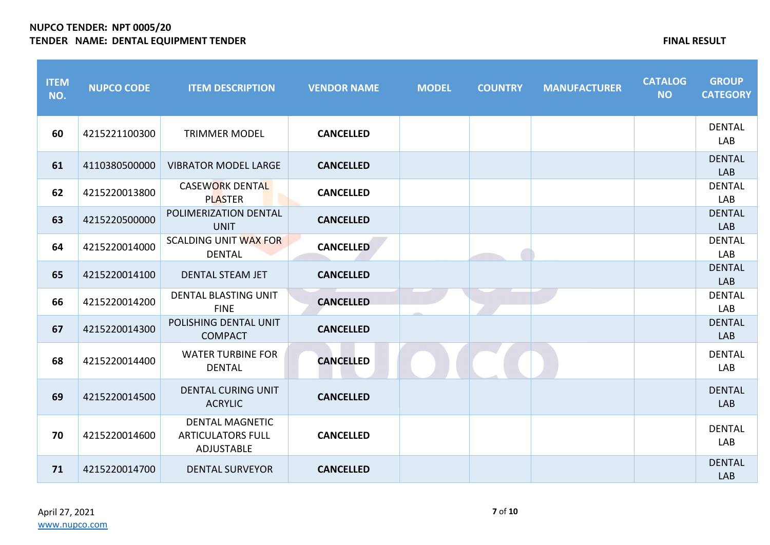| <b>ITEM</b><br>NO. | <b>NUPCO CODE</b> | <b>ITEM DESCRIPTION</b>                                          | <b>VENDOR NAME</b> | <b>MODEL</b> | <b>COUNTRY</b> | <b>MANUFACTURER</b> | <b>CATALOG</b><br><b>NO</b> | <b>GROUP</b><br><b>CATEGORY</b> |
|--------------------|-------------------|------------------------------------------------------------------|--------------------|--------------|----------------|---------------------|-----------------------------|---------------------------------|
| 60                 | 4215221100300     | <b>TRIMMER MODEL</b>                                             | <b>CANCELLED</b>   |              |                |                     |                             | <b>DENTAL</b><br><b>LAB</b>     |
| 61                 | 4110380500000     | <b>VIBRATOR MODEL LARGE</b>                                      | <b>CANCELLED</b>   |              |                |                     |                             | <b>DENTAL</b><br>LAB            |
| 62                 | 4215220013800     | <b>CASEWORK DENTAL</b><br><b>PLASTER</b>                         | <b>CANCELLED</b>   |              |                |                     |                             | <b>DENTAL</b><br><b>LAB</b>     |
| 63                 | 4215220500000     | POLIMERIZATION DENTAL<br><b>UNIT</b>                             | <b>CANCELLED</b>   |              |                |                     |                             | <b>DENTAL</b><br>LAB            |
| 64                 | 4215220014000     | <b>SCALDING UNIT WAX FOR</b><br><b>DENTAL</b>                    | <b>CANCELLED</b>   |              |                |                     |                             | <b>DENTAL</b><br>LAB            |
| 65                 | 4215220014100     | <b>DENTAL STEAM JET</b>                                          | <b>CANCELLED</b>   |              |                |                     |                             | <b>DENTAL</b><br>LAB            |
| 66                 | 4215220014200     | <b>DENTAL BLASTING UNIT</b><br><b>FINE</b>                       | <b>CANCELLED</b>   |              |                |                     |                             | <b>DENTAL</b><br>LAB            |
| 67                 | 4215220014300     | POLISHING DENTAL UNIT<br><b>COMPACT</b>                          | <b>CANCELLED</b>   |              |                |                     |                             | <b>DENTAL</b><br>LAB            |
| 68                 | 4215220014400     | <b>WATER TURBINE FOR</b><br><b>DENTAL</b>                        | <b>CANCELLED</b>   |              |                |                     |                             | <b>DENTAL</b><br>LAB            |
| 69                 | 4215220014500     | <b>DENTAL CURING UNIT</b><br><b>ACRYLIC</b>                      | <b>CANCELLED</b>   |              |                |                     |                             | <b>DENTAL</b><br><b>LAB</b>     |
| 70                 | 4215220014600     | <b>DENTAL MAGNETIC</b><br><b>ARTICULATORS FULL</b><br>ADJUSTABLE | <b>CANCELLED</b>   |              |                |                     |                             | <b>DENTAL</b><br>LAB            |
| 71                 | 4215220014700     | <b>DENTAL SURVEYOR</b>                                           | <b>CANCELLED</b>   |              |                |                     |                             | <b>DENTAL</b><br>LAB            |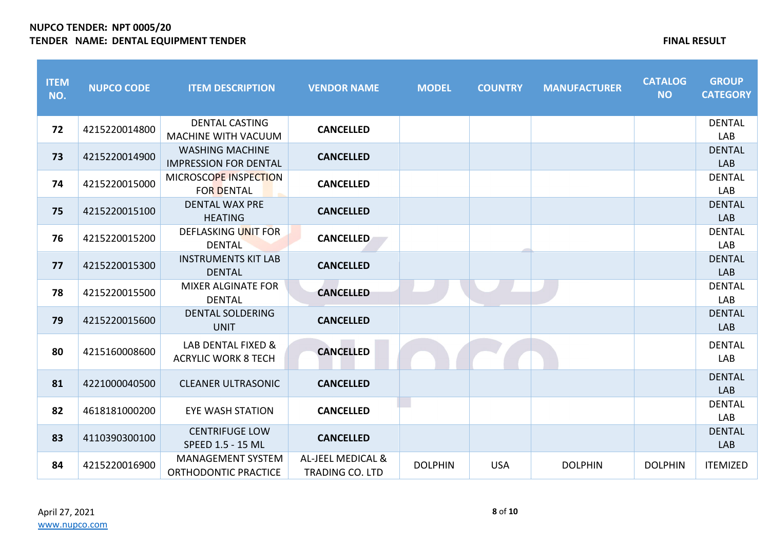| <b>ITEM</b><br>NO. | <b>NUPCO CODE</b> | <b>ITEM DESCRIPTION</b>                                | <b>VENDOR NAME</b>                          | <b>MODEL</b>   | <b>COUNTRY</b> | <b>MANUFACTURER</b> | <b>CATALOG</b><br><b>NO</b> | <b>GROUP</b><br><b>CATEGORY</b> |
|--------------------|-------------------|--------------------------------------------------------|---------------------------------------------|----------------|----------------|---------------------|-----------------------------|---------------------------------|
| 72                 | 4215220014800     | <b>DENTAL CASTING</b><br><b>MACHINE WITH VACUUM</b>    | <b>CANCELLED</b>                            |                |                |                     |                             | <b>DENTAL</b><br><b>LAB</b>     |
| 73                 | 4215220014900     | <b>WASHING MACHINE</b><br><b>IMPRESSION FOR DENTAL</b> | <b>CANCELLED</b>                            |                |                |                     |                             | <b>DENTAL</b><br>LAB            |
| 74                 | 4215220015000     | MICROSCOPE INSPECTION<br><b>FOR DENTAL</b>             | <b>CANCELLED</b>                            |                |                |                     |                             | <b>DENTAL</b><br>LAB            |
| 75                 | 4215220015100     | <b>DENTAL WAX PRE</b><br><b>HEATING</b>                | <b>CANCELLED</b>                            |                |                |                     |                             | <b>DENTAL</b><br><b>LAB</b>     |
| 76                 | 4215220015200     | DEFLASKING UNIT FOR<br><b>DENTAL</b>                   | <b>CANCELLED</b>                            |                |                |                     |                             | <b>DENTAL</b><br>LAB            |
| 77                 | 4215220015300     | <b>INSTRUMENTS KIT LAB</b><br><b>DENTAL</b>            | <b>CANCELLED</b>                            |                |                |                     |                             | <b>DENTAL</b><br>LAB            |
| 78                 | 4215220015500     | <b>MIXER ALGINATE FOR</b><br><b>DENTAL</b>             | <b>CANCELLED</b>                            |                |                |                     |                             | <b>DENTAL</b><br><b>LAB</b>     |
| 79                 | 4215220015600     | <b>DENTAL SOLDERING</b><br><b>UNIT</b>                 | <b>CANCELLED</b>                            |                |                |                     |                             | <b>DENTAL</b><br>LAB            |
| 80                 | 4215160008600     | LAB DENTAL FIXED &<br><b>ACRYLIC WORK 8 TECH</b>       | <b>CANCELLED</b>                            |                |                |                     |                             | <b>DENTAL</b><br>LAB            |
| 81                 | 4221000040500     | <b>CLEANER ULTRASONIC</b>                              | <b>CANCELLED</b>                            |                |                |                     |                             | <b>DENTAL</b><br>LAB            |
| 82                 | 4618181000200     | <b>EYE WASH STATION</b>                                | <b>CANCELLED</b>                            |                |                |                     |                             | <b>DENTAL</b><br><b>LAB</b>     |
| 83                 | 4110390300100     | <b>CENTRIFUGE LOW</b><br>SPEED 1.5 - 15 ML             | <b>CANCELLED</b>                            |                |                |                     |                             | <b>DENTAL</b><br>LAB            |
| 84                 | 4215220016900     | <b>MANAGEMENT SYSTEM</b><br>ORTHODONTIC PRACTICE       | AL-JEEL MEDICAL &<br><b>TRADING CO. LTD</b> | <b>DOLPHIN</b> | <b>USA</b>     | <b>DOLPHIN</b>      | <b>DOLPHIN</b>              | <b>ITEMIZED</b>                 |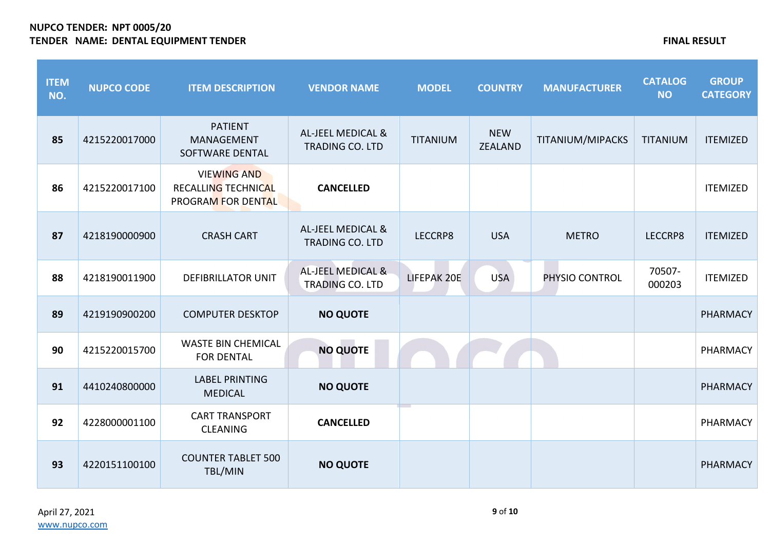| <b>ITEM</b><br>NO. | <b>NUPCO CODE</b> | <b>ITEM DESCRIPTION</b>                                                | <b>VENDOR NAME</b>                                     | <b>MODEL</b>    | <b>COUNTRY</b>               | <b>MANUFACTURER</b> | <b>CATALOG</b><br><b>NO</b> | <b>GROUP</b><br><b>CATEGORY</b> |
|--------------------|-------------------|------------------------------------------------------------------------|--------------------------------------------------------|-----------------|------------------------------|---------------------|-----------------------------|---------------------------------|
| 85                 | 4215220017000     | <b>PATIENT</b><br><b>MANAGEMENT</b><br>SOFTWARE DENTAL                 | <b>AL-JEEL MEDICAL &amp;</b><br><b>TRADING CO. LTD</b> | <b>TITANIUM</b> | <b>NEW</b><br><b>ZEALAND</b> | TITANIUM/MIPACKS    | <b>TITANIUM</b>             | <b>ITEMIZED</b>                 |
| 86                 | 4215220017100     | <b>VIEWING AND</b><br><b>RECALLING TECHNICAL</b><br>PROGRAM FOR DENTAL | <b>CANCELLED</b>                                       |                 |                              |                     |                             | <b>ITEMIZED</b>                 |
| 87                 | 4218190000900     | <b>CRASH CART</b>                                                      | AL-JEEL MEDICAL &<br><b>TRADING CO. LTD</b>            | LECCRP8         | <b>USA</b>                   | <b>METRO</b>        | LECCRP8                     | <b>ITEMIZED</b>                 |
| 88                 | 4218190011900     | <b>DEFIBRILLATOR UNIT</b>                                              | AL-JEEL MEDICAL &<br>TRADING CO. LTD                   | LIFEPAK 20E     | <b>USA</b>                   | PHYSIO CONTROL      | 70507-<br>000203            | <b>ITEMIZED</b>                 |
| 89                 | 4219190900200     | <b>COMPUTER DESKTOP</b>                                                | <b>NO QUOTE</b>                                        |                 |                              |                     |                             | <b>PHARMACY</b>                 |
| 90                 | 4215220015700     | <b>WASTE BIN CHEMICAL</b><br><b>FOR DENTAL</b>                         | <b>NO QUOTE</b>                                        |                 |                              |                     |                             | PHARMACY                        |
| 91                 | 4410240800000     | <b>LABEL PRINTING</b><br><b>MEDICAL</b>                                | <b>NO QUOTE</b>                                        |                 |                              |                     |                             | <b>PHARMACY</b>                 |
| 92                 | 4228000001100     | <b>CART TRANSPORT</b><br><b>CLEANING</b>                               | <b>CANCELLED</b>                                       |                 |                              |                     |                             | PHARMACY                        |
| 93                 | 4220151100100     | <b>COUNTER TABLET 500</b><br>TBL/MIN                                   | <b>NO QUOTE</b>                                        |                 |                              |                     |                             | <b>PHARMACY</b>                 |